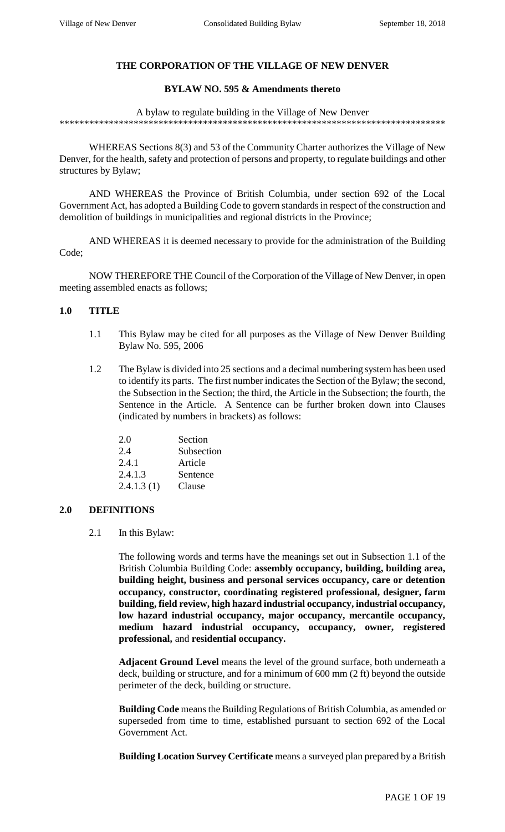# **THE CORPORATION OF THE VILLAGE OF NEW DENVER**

#### **BYLAW NO. 595 & Amendments thereto**

A bylaw to regulate building in the Village of New Denver \*\*\*\*\*\*\*\*\*\*\*\*\*\*\*\*\*\*\*\*\*\*\*\*\*\*\*\*\*\*\*\*\*\*\*\*\*\*\*\*\*\*\*\*\*\*\*\*\*\*\*\*\*\*\*\*\*\*\*\*\*\*\*\*\*\*\*\*\*\*\*\*\*\*\*\*\*\*

WHEREAS Sections 8(3) and 53 of the Community Charter authorizes the Village of New Denver, for the health, safety and protection of persons and property, to regulate buildings and other structures by Bylaw;

AND WHEREAS the Province of British Columbia, under section 692 of the Local Government Act, has adopted a Building Code to govern standards in respect of the construction and demolition of buildings in municipalities and regional districts in the Province;

AND WHEREAS it is deemed necessary to provide for the administration of the Building Code;

NOW THEREFORE THE Council of the Corporation of the Village of New Denver, in open meeting assembled enacts as follows;

#### **1.0 TITLE**

- 1.1 This Bylaw may be cited for all purposes as the Village of New Denver Building Bylaw No. 595, 2006
- 1.2 The Bylaw is divided into 25 sections and a decimal numbering system has been used to identify its parts. The first number indicates the Section of the Bylaw; the second, the Subsection in the Section; the third, the Article in the Subsection; the fourth, the Sentence in the Article. A Sentence can be further broken down into Clauses (indicated by numbers in brackets) as follows:

| 2.0        | Section    |
|------------|------------|
| 2.4        | Subsection |
| 2.4.1      | Article    |
| 2.4.1.3    | Sentence   |
| 2.4.1.3(1) | Clause     |

#### **2.0 DEFINITIONS**

2.1 In this Bylaw:

The following words and terms have the meanings set out in Subsection 1.1 of the British Columbia Building Code: **assembly occupancy, building, building area, building height, business and personal services occupancy, care or detention occupancy, constructor, coordinating registered professional, designer, farm building, field review, high hazard industrial occupancy, industrial occupancy, low hazard industrial occupancy, major occupancy, mercantile occupancy, medium hazard industrial occupancy, occupancy, owner, registered professional,** and **residential occupancy.**

**Adjacent Ground Level** means the level of the ground surface, both underneath a deck, building or structure, and for a minimum of 600 mm (2 ft) beyond the outside perimeter of the deck, building or structure.

**Building Code** means the Building Regulations of British Columbia, as amended or superseded from time to time, established pursuant to section 692 of the Local Government Act.

**Building Location Survey Certificate** means a surveyed plan prepared by a British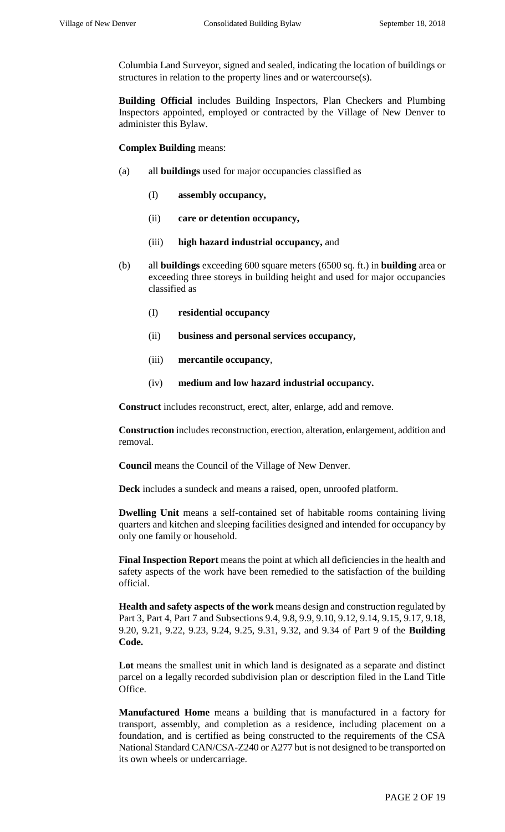Columbia Land Surveyor, signed and sealed, indicating the location of buildings or structures in relation to the property lines and or watercourse(s).

**Building Official** includes Building Inspectors, Plan Checkers and Plumbing Inspectors appointed, employed or contracted by the Village of New Denver to administer this Bylaw.

**Complex Building** means:

- (a) all **buildings** used for major occupancies classified as
	- (I) **assembly occupancy,**
	- (ii) **care or detention occupancy,**
	- (iii) **high hazard industrial occupancy,** and
- (b) all **buildings** exceeding 600 square meters (6500 sq. ft.) in **building** area or exceeding three storeys in building height and used for major occupancies classified as
	- (I) **residential occupancy**
	- (ii) **business and personal services occupancy,**
	- (iii) **mercantile occupancy**,
	- (iv) **medium and low hazard industrial occupancy.**

**Construct** includes reconstruct, erect, alter, enlarge, add and remove.

**Construction** includes reconstruction, erection, alteration, enlargement, addition and removal.

**Council** means the Council of the Village of New Denver.

**Deck** includes a sundeck and means a raised, open, unroofed platform.

**Dwelling Unit** means a self-contained set of habitable rooms containing living quarters and kitchen and sleeping facilities designed and intended for occupancy by only one family or household.

**Final Inspection Report** means the point at which all deficiencies in the health and safety aspects of the work have been remedied to the satisfaction of the building official.

**Health and safety aspects of the work** means design and construction regulated by Part 3, Part 4, Part 7 and Subsections 9.4, 9.8, 9.9, 9.10, 9.12, 9.14, 9.15, 9.17, 9.18, 9.20, 9.21, 9.22, 9.23, 9.24, 9.25, 9.31, 9.32, and 9.34 of Part 9 of the **Building Code.**

Lot means the smallest unit in which land is designated as a separate and distinct parcel on a legally recorded subdivision plan or description filed in the Land Title Office.

**Manufactured Home** means a building that is manufactured in a factory for transport, assembly, and completion as a residence, including placement on a foundation, and is certified as being constructed to the requirements of the CSA National Standard CAN/CSA-Z240 or A277 but is not designed to be transported on its own wheels or undercarriage.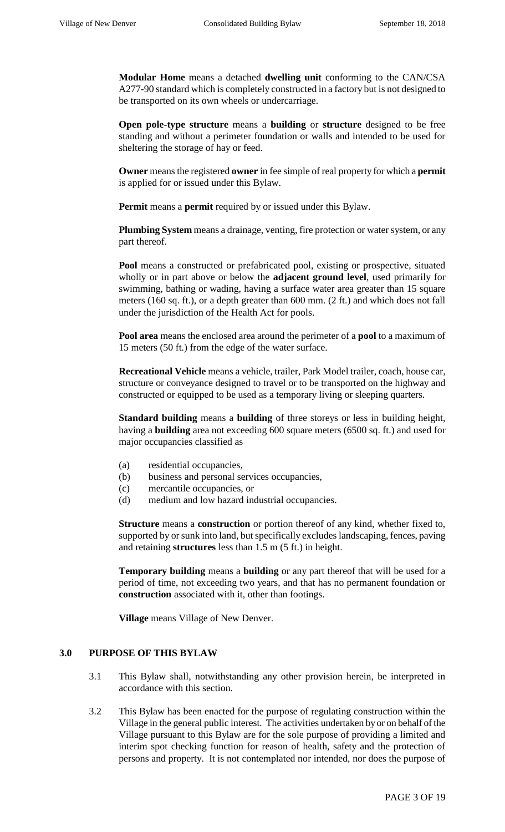**Modular Home** means a detached **dwelling unit** conforming to the CAN/CSA A277-90 standard which is completely constructed in a factory but is not designed to be transported on its own wheels or undercarriage.

**Open pole-type structure** means a **building** or **structure** designed to be free standing and without a perimeter foundation or walls and intended to be used for sheltering the storage of hay or feed.

**Owner** means the registered **owner** in fee simple of real property for which a **permit** is applied for or issued under this Bylaw.

**Permit** means a **permit** required by or issued under this Bylaw.

**Plumbing System** means a drainage, venting, fire protection or water system, or any part thereof.

**Pool** means a constructed or prefabricated pool, existing or prospective, situated wholly or in part above or below the **adjacent ground level**, used primarily for swimming, bathing or wading, having a surface water area greater than 15 square meters (160 sq. ft.), or a depth greater than 600 mm. (2 ft.) and which does not fall under the jurisdiction of the Health Act for pools.

**Pool area** means the enclosed area around the perimeter of a **pool** to a maximum of 15 meters (50 ft.) from the edge of the water surface.

**Recreational Vehicle** means a vehicle, trailer, Park Model trailer, coach, house car, structure or conveyance designed to travel or to be transported on the highway and constructed or equipped to be used as a temporary living or sleeping quarters.

**Standard building** means a **building** of three storeys or less in building height, having a **building** area not exceeding 600 square meters (6500 sq. ft.) and used for major occupancies classified as

- (a) residential occupancies,
- (b) business and personal services occupancies,
- (c) mercantile occupancies, or
- (d) medium and low hazard industrial occupancies.

**Structure** means a **construction** or portion thereof of any kind, whether fixed to, supported by or sunk into land, but specifically excludes landscaping, fences, paving and retaining **structures** less than 1.5 m (5 ft.) in height.

**Temporary building** means a **building** or any part thereof that will be used for a period of time, not exceeding two years, and that has no permanent foundation or **construction** associated with it, other than footings.

**Village** means Village of New Denver.

#### **3.0 PURPOSE OF THIS BYLAW**

- 3.1 This Bylaw shall, notwithstanding any other provision herein, be interpreted in accordance with this section.
- 3.2 This Bylaw has been enacted for the purpose of regulating construction within the Village in the general public interest. The activities undertaken by or on behalf of the Village pursuant to this Bylaw are for the sole purpose of providing a limited and interim spot checking function for reason of health, safety and the protection of persons and property. It is not contemplated nor intended, nor does the purpose of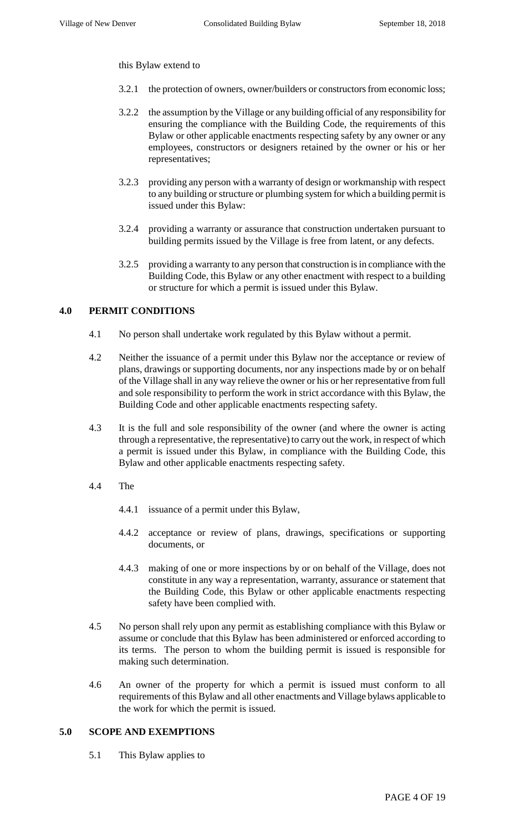this Bylaw extend to

- 3.2.1 the protection of owners, owner/builders or constructors from economic loss;
- 3.2.2 the assumption by the Village or any building official of any responsibility for ensuring the compliance with the Building Code, the requirements of this Bylaw or other applicable enactments respecting safety by any owner or any employees, constructors or designers retained by the owner or his or her representatives;
- 3.2.3 providing any person with a warranty of design or workmanship with respect to any building or structure or plumbing system for which a building permit is issued under this Bylaw:
- 3.2.4 providing a warranty or assurance that construction undertaken pursuant to building permits issued by the Village is free from latent, or any defects.
- 3.2.5 providing a warranty to any person that construction is in compliance with the Building Code, this Bylaw or any other enactment with respect to a building or structure for which a permit is issued under this Bylaw.

#### **4.0 PERMIT CONDITIONS**

- 4.1 No person shall undertake work regulated by this Bylaw without a permit.
- 4.2 Neither the issuance of a permit under this Bylaw nor the acceptance or review of plans, drawings or supporting documents, nor any inspections made by or on behalf of the Village shall in any way relieve the owner or his or her representative from full and sole responsibility to perform the work in strict accordance with this Bylaw, the Building Code and other applicable enactments respecting safety.
- 4.3 It is the full and sole responsibility of the owner (and where the owner is acting through a representative, the representative) to carry out the work, in respect of which a permit is issued under this Bylaw, in compliance with the Building Code, this Bylaw and other applicable enactments respecting safety.
- 4.4 The
	- 4.4.1 issuance of a permit under this Bylaw,
	- 4.4.2 acceptance or review of plans, drawings, specifications or supporting documents, or
	- 4.4.3 making of one or more inspections by or on behalf of the Village, does not constitute in any way a representation, warranty, assurance or statement that the Building Code, this Bylaw or other applicable enactments respecting safety have been complied with.
- 4.5 No person shall rely upon any permit as establishing compliance with this Bylaw or assume or conclude that this Bylaw has been administered or enforced according to its terms. The person to whom the building permit is issued is responsible for making such determination.
- 4.6 An owner of the property for which a permit is issued must conform to all requirements of this Bylaw and all other enactments and Village bylaws applicable to the work for which the permit is issued.

#### **5.0 SCOPE AND EXEMPTIONS**

5.1 This Bylaw applies to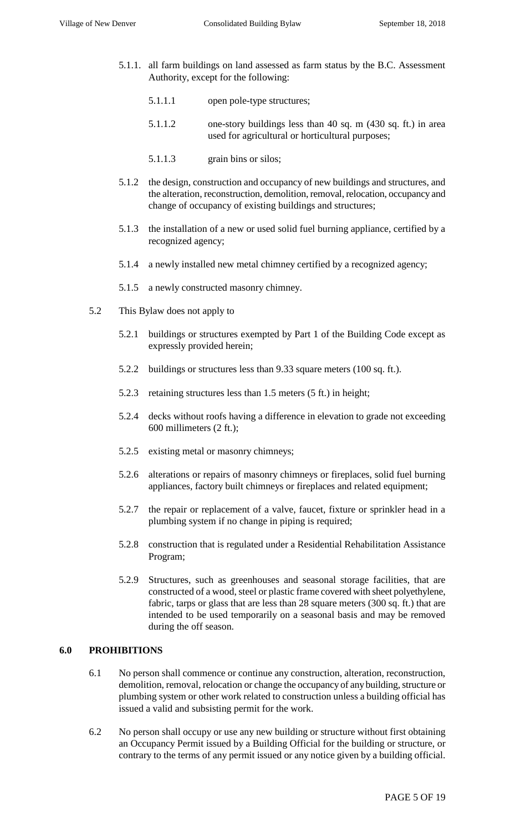- 5.1.1. all farm buildings on land assessed as farm status by the B.C. Assessment Authority, except for the following:
	- 5.1.1.1 open pole-type structures;
	- 5.1.1.2 one-story buildings less than 40 sq. m (430 sq. ft.) in area used for agricultural or horticultural purposes;
	- 5.1.1.3 grain bins or silos;
- 5.1.2 the design, construction and occupancy of new buildings and structures, and the alteration, reconstruction, demolition, removal, relocation, occupancy and change of occupancy of existing buildings and structures;
- 5.1.3 the installation of a new or used solid fuel burning appliance, certified by a recognized agency;
- 5.1.4 a newly installed new metal chimney certified by a recognized agency;
- 5.1.5 a newly constructed masonry chimney.
- 5.2 This Bylaw does not apply to
	- 5.2.1 buildings or structures exempted by Part 1 of the Building Code except as expressly provided herein;
	- 5.2.2 buildings or structures less than 9.33 square meters (100 sq. ft.).
	- 5.2.3 retaining structures less than 1.5 meters (5 ft.) in height;
	- 5.2.4 decks without roofs having a difference in elevation to grade not exceeding 600 millimeters (2 ft.);
	- 5.2.5 existing metal or masonry chimneys;
	- 5.2.6 alterations or repairs of masonry chimneys or fireplaces, solid fuel burning appliances, factory built chimneys or fireplaces and related equipment;
	- 5.2.7 the repair or replacement of a valve, faucet, fixture or sprinkler head in a plumbing system if no change in piping is required;
	- 5.2.8 construction that is regulated under a Residential Rehabilitation Assistance Program;
	- 5.2.9 Structures, such as greenhouses and seasonal storage facilities, that are constructed of a wood, steel or plastic frame covered with sheet polyethylene, fabric, tarps or glass that are less than 28 square meters (300 sq. ft.) that are intended to be used temporarily on a seasonal basis and may be removed during the off season.

# **6.0 PROHIBITIONS**

- 6.1 No person shall commence or continue any construction, alteration, reconstruction, demolition, removal, relocation or change the occupancy of any building, structure or plumbing system or other work related to construction unless a building official has issued a valid and subsisting permit for the work.
- 6.2 No person shall occupy or use any new building or structure without first obtaining an Occupancy Permit issued by a Building Official for the building or structure, or contrary to the terms of any permit issued or any notice given by a building official.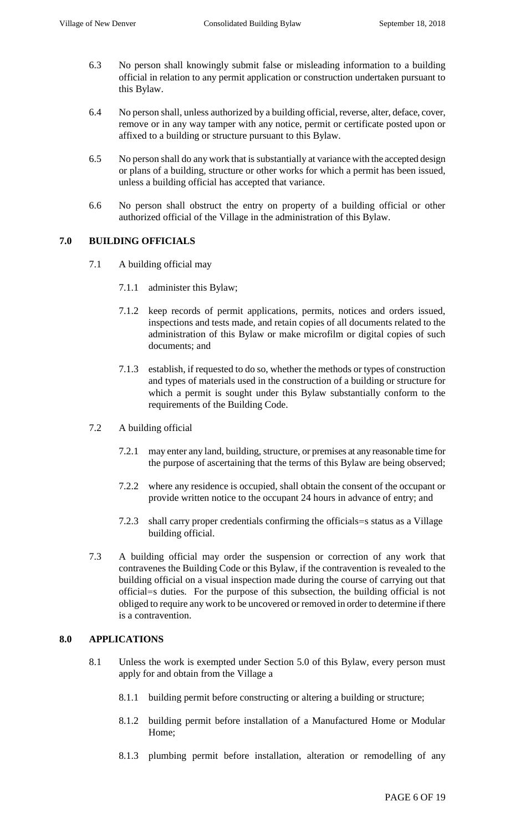- 6.3 No person shall knowingly submit false or misleading information to a building official in relation to any permit application or construction undertaken pursuant to this Bylaw.
- 6.4 No person shall, unless authorized by a building official, reverse, alter, deface, cover, remove or in any way tamper with any notice, permit or certificate posted upon or affixed to a building or structure pursuant to this Bylaw.
- 6.5 No person shall do any work that is substantially at variance with the accepted design or plans of a building, structure or other works for which a permit has been issued, unless a building official has accepted that variance.
- 6.6 No person shall obstruct the entry on property of a building official or other authorized official of the Village in the administration of this Bylaw.

# **7.0 BUILDING OFFICIALS**

- 7.1 A building official may
	- 7.1.1 administer this Bylaw;
	- 7.1.2 keep records of permit applications, permits, notices and orders issued, inspections and tests made, and retain copies of all documents related to the administration of this Bylaw or make microfilm or digital copies of such documents; and
	- 7.1.3 establish, if requested to do so, whether the methods or types of construction and types of materials used in the construction of a building or structure for which a permit is sought under this Bylaw substantially conform to the requirements of the Building Code.
- 7.2 A building official
	- 7.2.1 may enter any land, building, structure, or premises at any reasonable time for the purpose of ascertaining that the terms of this Bylaw are being observed;
	- 7.2.2 where any residence is occupied, shall obtain the consent of the occupant or provide written notice to the occupant 24 hours in advance of entry; and
	- 7.2.3 shall carry proper credentials confirming the officials=s status as a Village building official.
- 7.3 A building official may order the suspension or correction of any work that contravenes the Building Code or this Bylaw, if the contravention is revealed to the building official on a visual inspection made during the course of carrying out that official=s duties. For the purpose of this subsection, the building official is not obliged to require any work to be uncovered or removed in order to determine if there is a contravention.

### **8.0 APPLICATIONS**

- 8.1 Unless the work is exempted under Section 5.0 of this Bylaw, every person must apply for and obtain from the Village a
	- 8.1.1 building permit before constructing or altering a building or structure;
	- 8.1.2 building permit before installation of a Manufactured Home or Modular Home;
	- 8.1.3 plumbing permit before installation, alteration or remodelling of any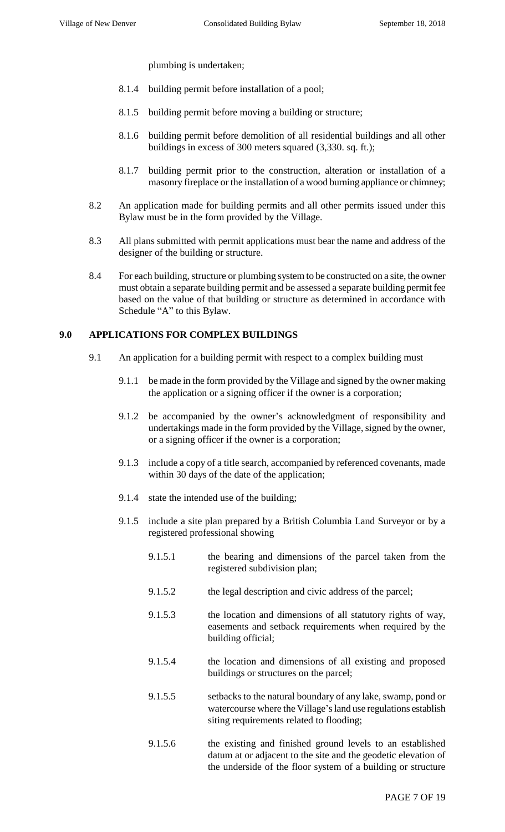plumbing is undertaken;

- 8.1.4 building permit before installation of a pool;
- 8.1.5 building permit before moving a building or structure;
- 8.1.6 building permit before demolition of all residential buildings and all other buildings in excess of 300 meters squared (3,330. sq. ft.);
- 8.1.7 building permit prior to the construction, alteration or installation of a masonry fireplace or the installation of a wood burning appliance or chimney;
- 8.2 An application made for building permits and all other permits issued under this Bylaw must be in the form provided by the Village.
- 8.3 All plans submitted with permit applications must bear the name and address of the designer of the building or structure.
- 8.4 For each building, structure or plumbing system to be constructed on a site, the owner must obtain a separate building permit and be assessed a separate building permit fee based on the value of that building or structure as determined in accordance with Schedule "A" to this Bylaw.

#### **9.0 APPLICATIONS FOR COMPLEX BUILDINGS**

- 9.1 An application for a building permit with respect to a complex building must
	- 9.1.1 be made in the form provided by the Village and signed by the owner making the application or a signing officer if the owner is a corporation;
	- 9.1.2 be accompanied by the owner's acknowledgment of responsibility and undertakings made in the form provided by the Village, signed by the owner, or a signing officer if the owner is a corporation;
	- 9.1.3 include a copy of a title search, accompanied by referenced covenants, made within 30 days of the date of the application;
	- 9.1.4 state the intended use of the building;
	- 9.1.5 include a site plan prepared by a British Columbia Land Surveyor or by a registered professional showing
		- 9.1.5.1 the bearing and dimensions of the parcel taken from the registered subdivision plan;
		- 9.1.5.2 the legal description and civic address of the parcel;
		- 9.1.5.3 the location and dimensions of all statutory rights of way, easements and setback requirements when required by the building official;
		- 9.1.5.4 the location and dimensions of all existing and proposed buildings or structures on the parcel;
		- 9.1.5.5 setbacks to the natural boundary of any lake, swamp, pond or watercourse where the Village's land use regulations establish siting requirements related to flooding;
		- 9.1.5.6 the existing and finished ground levels to an established datum at or adjacent to the site and the geodetic elevation of the underside of the floor system of a building or structure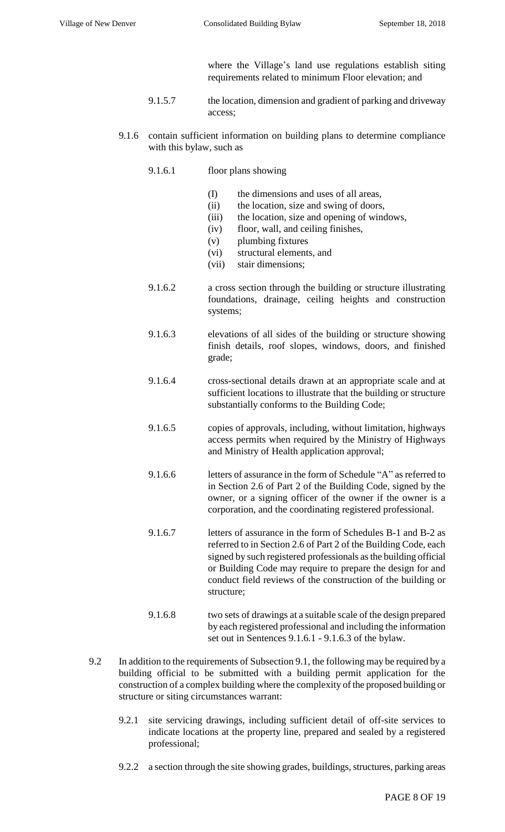where the Village's land use regulations establish siting requirements related to minimum Floor elevation; and

- 9.1.5.7 the location, dimension and gradient of parking and driveway access;
- 9.1.6 contain sufficient information on building plans to determine compliance with this bylaw, such as
	- 9.1.6.1 floor plans showing
		- (I) the dimensions and uses of all areas,
		- (ii) the location, size and swing of doors,
		- (iii) the location, size and opening of windows,
		- (iv) floor, wall, and ceiling finishes,
		- (v) plumbing fixtures
		- (vi) structural elements, and
		- (vii) stair dimensions;
	- 9.1.6.2 a cross section through the building or structure illustrating foundations, drainage, ceiling heights and construction systems;
	- 9.1.6.3 elevations of all sides of the building or structure showing finish details, roof slopes, windows, doors, and finished grade;
	- 9.1.6.4 cross-sectional details drawn at an appropriate scale and at sufficient locations to illustrate that the building or structure substantially conforms to the Building Code;
	- 9.1.6.5 copies of approvals, including, without limitation, highways access permits when required by the Ministry of Highways and Ministry of Health application approval;
	- 9.1.6.6 letters of assurance in the form of Schedule "A" as referred to in Section 2.6 of Part 2 of the Building Code, signed by the owner, or a signing officer of the owner if the owner is a corporation, and the coordinating registered professional.
	- 9.1.6.7 letters of assurance in the form of Schedules B-1 and B-2 as referred to in Section 2.6 of Part 2 of the Building Code, each signed by such registered professionals as the building official or Building Code may require to prepare the design for and conduct field reviews of the construction of the building or structure;
	- 9.1.6.8 two sets of drawings at a suitable scale of the design prepared by each registered professional and including the information set out in Sentences 9.1.6.1 - 9.1.6.3 of the bylaw.
- 9.2 In addition to the requirements of Subsection 9.1, the following may be required by a building official to be submitted with a building permit application for the construction of a complex building where the complexity of the proposed building or structure or siting circumstances warrant:
	- 9.2.1 site servicing drawings, including sufficient detail of off-site services to indicate locations at the property line, prepared and sealed by a registered professional;
	- 9.2.2 a section through the site showing grades, buildings, structures, parking areas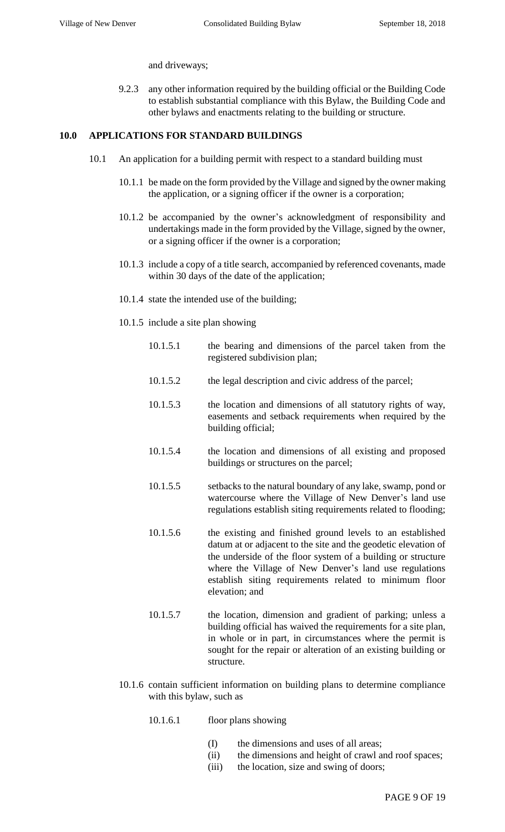and driveways;

9.2.3 any other information required by the building official or the Building Code to establish substantial compliance with this Bylaw, the Building Code and other bylaws and enactments relating to the building or structure.

#### **10.0 APPLICATIONS FOR STANDARD BUILDINGS**

- 10.1 An application for a building permit with respect to a standard building must
	- 10.1.1 be made on the form provided by the Village and signed by the owner making the application, or a signing officer if the owner is a corporation;
	- 10.1.2 be accompanied by the owner's acknowledgment of responsibility and undertakings made in the form provided by the Village, signed by the owner, or a signing officer if the owner is a corporation;
	- 10.1.3 include a copy of a title search, accompanied by referenced covenants, made within 30 days of the date of the application;
	- 10.1.4 state the intended use of the building;
	- 10.1.5 include a site plan showing
		- 10.1.5.1 the bearing and dimensions of the parcel taken from the registered subdivision plan;
		- 10.1.5.2 the legal description and civic address of the parcel;
		- 10.1.5.3 the location and dimensions of all statutory rights of way, easements and setback requirements when required by the building official;
		- 10.1.5.4 the location and dimensions of all existing and proposed buildings or structures on the parcel;
		- 10.1.5.5 setbacks to the natural boundary of any lake, swamp, pond or watercourse where the Village of New Denver's land use regulations establish siting requirements related to flooding;
		- 10.1.5.6 the existing and finished ground levels to an established datum at or adjacent to the site and the geodetic elevation of the underside of the floor system of a building or structure where the Village of New Denver's land use regulations establish siting requirements related to minimum floor elevation; and
		- 10.1.5.7 the location, dimension and gradient of parking; unless a building official has waived the requirements for a site plan, in whole or in part, in circumstances where the permit is sought for the repair or alteration of an existing building or structure.
	- 10.1.6 contain sufficient information on building plans to determine compliance with this bylaw, such as
		- 10.1.6.1 floor plans showing
			- (I) the dimensions and uses of all areas;
			- (ii) the dimensions and height of crawl and roof spaces;
			- (iii) the location, size and swing of doors;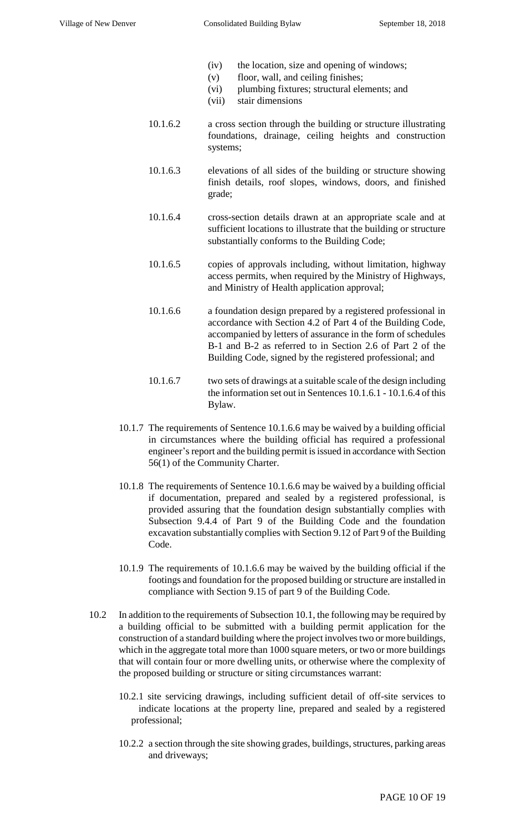- (iv) the location, size and opening of windows;
- (v) floor, wall, and ceiling finishes;
- (vi) plumbing fixtures; structural elements; and
- (vii) stair dimensions
- 10.1.6.2 a cross section through the building or structure illustrating foundations, drainage, ceiling heights and construction systems;
- 10.1.6.3 elevations of all sides of the building or structure showing finish details, roof slopes, windows, doors, and finished grade;
- 10.1.6.4 cross-section details drawn at an appropriate scale and at sufficient locations to illustrate that the building or structure substantially conforms to the Building Code;
- 10.1.6.5 copies of approvals including, without limitation, highway access permits, when required by the Ministry of Highways, and Ministry of Health application approval;
- 10.1.6.6 a foundation design prepared by a registered professional in accordance with Section 4.2 of Part 4 of the Building Code, accompanied by letters of assurance in the form of schedules B-1 and B-2 as referred to in Section 2.6 of Part 2 of the Building Code, signed by the registered professional; and
- 10.1.6.7 two sets of drawings at a suitable scale of the design including the information set out in Sentences 10.1.6.1 - 10.1.6.4 of this Bylaw.
- 10.1.7 The requirements of Sentence 10.1.6.6 may be waived by a building official in circumstances where the building official has required a professional engineer's report and the building permit is issued in accordance with Section 56(1) of the Community Charter.
- 10.1.8 The requirements of Sentence 10.1.6.6 may be waived by a building official if documentation, prepared and sealed by a registered professional, is provided assuring that the foundation design substantially complies with Subsection 9.4.4 of Part 9 of the Building Code and the foundation excavation substantially complies with Section 9.12 of Part 9 of the Building Code.
- 10.1.9 The requirements of 10.1.6.6 may be waived by the building official if the footings and foundation for the proposed building or structure are installed in compliance with Section 9.15 of part 9 of the Building Code.
- 10.2 In addition to the requirements of Subsection 10.1, the following may be required by a building official to be submitted with a building permit application for the construction of a standard building where the project involves two or more buildings, which in the aggregate total more than 1000 square meters, or two or more buildings that will contain four or more dwelling units, or otherwise where the complexity of the proposed building or structure or siting circumstances warrant:
	- 10.2.1 site servicing drawings, including sufficient detail of off-site services to indicate locations at the property line, prepared and sealed by a registered professional;
	- 10.2.2 a section through the site showing grades, buildings, structures, parking areas and driveways;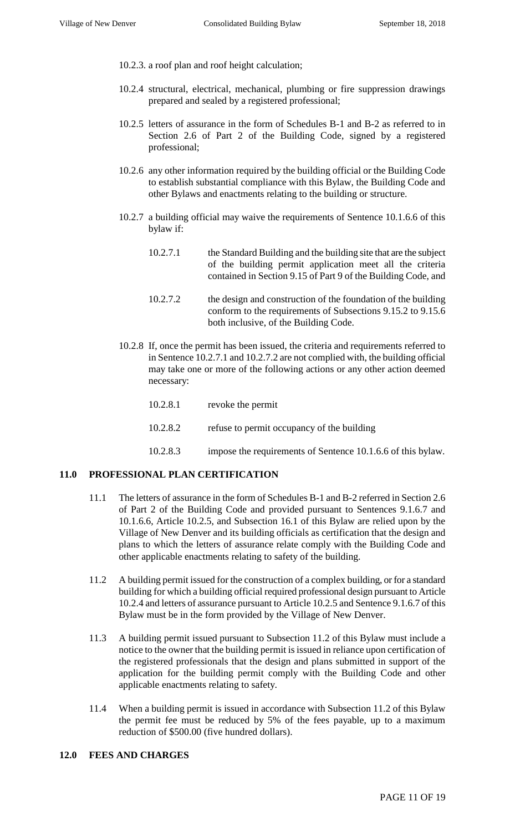- 10.2.3. a roof plan and roof height calculation;
- 10.2.4 structural, electrical, mechanical, plumbing or fire suppression drawings prepared and sealed by a registered professional;
- 10.2.5 letters of assurance in the form of Schedules B-1 and B-2 as referred to in Section 2.6 of Part 2 of the Building Code, signed by a registered professional;
- 10.2.6 any other information required by the building official or the Building Code to establish substantial compliance with this Bylaw, the Building Code and other Bylaws and enactments relating to the building or structure.
- 10.2.7 a building official may waive the requirements of Sentence 10.1.6.6 of this bylaw if:
	- 10.2.7.1 the Standard Building and the building site that are the subject of the building permit application meet all the criteria contained in Section 9.15 of Part 9 of the Building Code, and
	- 10.2.7.2 the design and construction of the foundation of the building conform to the requirements of Subsections 9.15.2 to 9.15.6 both inclusive, of the Building Code.
- 10.2.8 If, once the permit has been issued, the criteria and requirements referred to in Sentence 10.2.7.1 and 10.2.7.2 are not complied with, the building official may take one or more of the following actions or any other action deemed necessary:
	- 10.2.8.1 revoke the permit
	- 10.2.8.2 refuse to permit occupancy of the building
	- 10.2.8.3 impose the requirements of Sentence 10.1.6.6 of this bylaw.

#### **11.0 PROFESSIONAL PLAN CERTIFICATION**

- 11.1 The letters of assurance in the form of Schedules B-1 and B-2 referred in Section 2.6 of Part 2 of the Building Code and provided pursuant to Sentences 9.1.6.7 and 10.1.6.6, Article 10.2.5, and Subsection 16.1 of this Bylaw are relied upon by the Village of New Denver and its building officials as certification that the design and plans to which the letters of assurance relate comply with the Building Code and other applicable enactments relating to safety of the building.
- 11.2 A building permit issued for the construction of a complex building, or for a standard building for which a building official required professional design pursuant to Article 10.2.4 and letters of assurance pursuant to Article 10.2.5 and Sentence 9.1.6.7 of this Bylaw must be in the form provided by the Village of New Denver.
- 11.3 A building permit issued pursuant to Subsection 11.2 of this Bylaw must include a notice to the owner that the building permit is issued in reliance upon certification of the registered professionals that the design and plans submitted in support of the application for the building permit comply with the Building Code and other applicable enactments relating to safety.
- 11.4 When a building permit is issued in accordance with Subsection 11.2 of this Bylaw the permit fee must be reduced by 5% of the fees payable, up to a maximum reduction of \$500.00 (five hundred dollars).

#### **12.0 FEES AND CHARGES**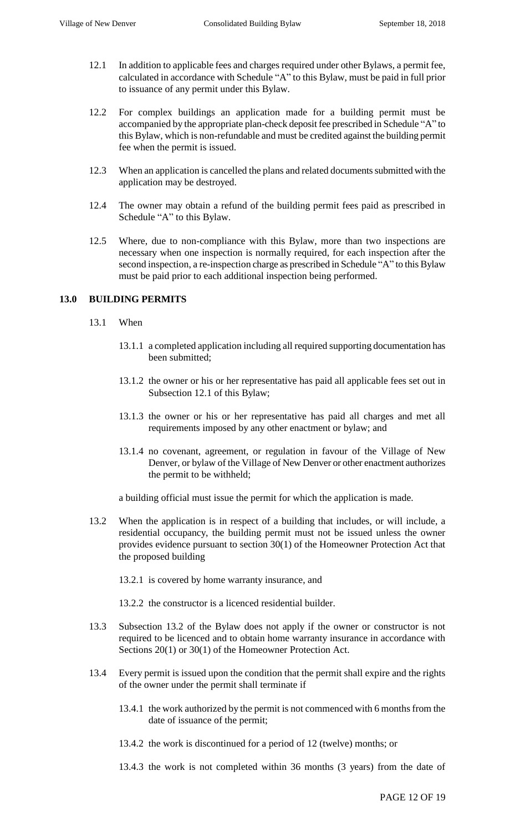- 12.1 In addition to applicable fees and charges required under other Bylaws, a permit fee, calculated in accordance with Schedule "A" to this Bylaw, must be paid in full prior to issuance of any permit under this Bylaw.
- 12.2 For complex buildings an application made for a building permit must be accompanied by the appropriate plan-check deposit fee prescribed in Schedule "A" to this Bylaw, which is non-refundable and must be credited against the building permit fee when the permit is issued.
- 12.3 When an application is cancelled the plans and related documents submitted with the application may be destroyed.
- 12.4 The owner may obtain a refund of the building permit fees paid as prescribed in Schedule "A" to this Bylaw.
- 12.5 Where, due to non-compliance with this Bylaw, more than two inspections are necessary when one inspection is normally required, for each inspection after the second inspection, a re-inspection charge as prescribed in Schedule "A" to this Bylaw must be paid prior to each additional inspection being performed.

#### **13.0 BUILDING PERMITS**

- 13.1 When
	- 13.1.1 a completed application including all required supporting documentation has been submitted;
	- 13.1.2 the owner or his or her representative has paid all applicable fees set out in Subsection 12.1 of this Bylaw;
	- 13.1.3 the owner or his or her representative has paid all charges and met all requirements imposed by any other enactment or bylaw; and
	- 13.1.4 no covenant, agreement, or regulation in favour of the Village of New Denver, or bylaw of the Village of New Denver or other enactment authorizes the permit to be withheld;

a building official must issue the permit for which the application is made.

13.2 When the application is in respect of a building that includes, or will include, a residential occupancy, the building permit must not be issued unless the owner provides evidence pursuant to section 30(1) of the Homeowner Protection Act that the proposed building

13.2.1 is covered by home warranty insurance, and

13.2.2 the constructor is a licenced residential builder.

- 13.3 Subsection 13.2 of the Bylaw does not apply if the owner or constructor is not required to be licenced and to obtain home warranty insurance in accordance with Sections 20(1) or 30(1) of the Homeowner Protection Act.
- 13.4 Every permit is issued upon the condition that the permit shall expire and the rights of the owner under the permit shall terminate if
	- 13.4.1 the work authorized by the permit is not commenced with 6 months from the date of issuance of the permit;
	- 13.4.2 the work is discontinued for a period of 12 (twelve) months; or
	- 13.4.3 the work is not completed within 36 months (3 years) from the date of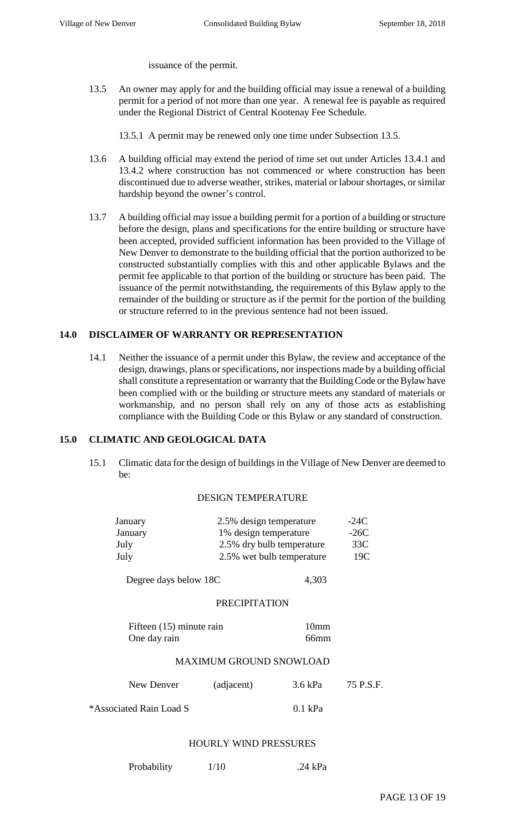issuance of the permit.

13.5 An owner may apply for and the building official may issue a renewal of a building permit for a period of not more than one year. A renewal fee is payable as required under the Regional District of Central Kootenay Fee Schedule.

13.5.1 A permit may be renewed only one time under Subsection 13.5.

- 13.6 A building official may extend the period of time set out under Articles 13.4.1 and 13.4.2 where construction has not commenced or where construction has been discontinued due to adverse weather, strikes, material or labour shortages, or similar hardship beyond the owner's control.
- 13.7 A building official may issue a building permit for a portion of a building or structure before the design, plans and specifications for the entire building or structure have been accepted, provided sufficient information has been provided to the Village of New Denver to demonstrate to the building official that the portion authorized to be constructed substantially complies with this and other applicable Bylaws and the permit fee applicable to that portion of the building or structure has been paid. The issuance of the permit notwithstanding, the requirements of this Bylaw apply to the remainder of the building or structure as if the permit for the portion of the building or structure referred to in the previous sentence had not been issued.

#### **14.0 DISCLAIMER OF WARRANTY OR REPRESENTATION**

14.1 Neither the issuance of a permit under this Bylaw, the review and acceptance of the design, drawings, plans or specifications, nor inspections made by a building official shall constitute a representation or warranty that the Building Code or the Bylaw have been complied with or the building or structure meets any standard of materials or workmanship, and no person shall rely on any of those acts as establishing compliance with the Building Code or this Bylaw or any standard of construction.

# **15.0 CLIMATIC AND GEOLOGICAL DATA**

15.1 Climatic data for the design of buildings in the Village of New Denver are deemed to be:

#### DESIGN TEMPERATURE

| January<br>January<br>July<br>July       | 2.5% design temperature<br>1% design temperature<br>2.5% dry bulb temperature | 2.5% wet bulb temperature            | $-24C$<br>$-26C$<br>33C<br>19C |
|------------------------------------------|-------------------------------------------------------------------------------|--------------------------------------|--------------------------------|
| Degree days below 18C                    |                                                                               | 4,303                                |                                |
|                                          | <b>PRECIPITATION</b>                                                          |                                      |                                |
| Fifteen (15) minute rain<br>One day rain |                                                                               | 10 <sub>mm</sub><br>66 <sub>mm</sub> |                                |
|                                          | <b>MAXIMUM GROUND SNOWLOAD</b>                                                |                                      |                                |
| New Denver                               | (adjacent)                                                                    | 3.6 kPa                              | 75 P.S.F.                      |
| *Associated Rain Load S                  |                                                                               | $0.1$ kPa                            |                                |
|                                          |                                                                               |                                      |                                |

#### HOURLY WIND PRESSURES

| Probability | 1/10 | .24 kPa |
|-------------|------|---------|
|-------------|------|---------|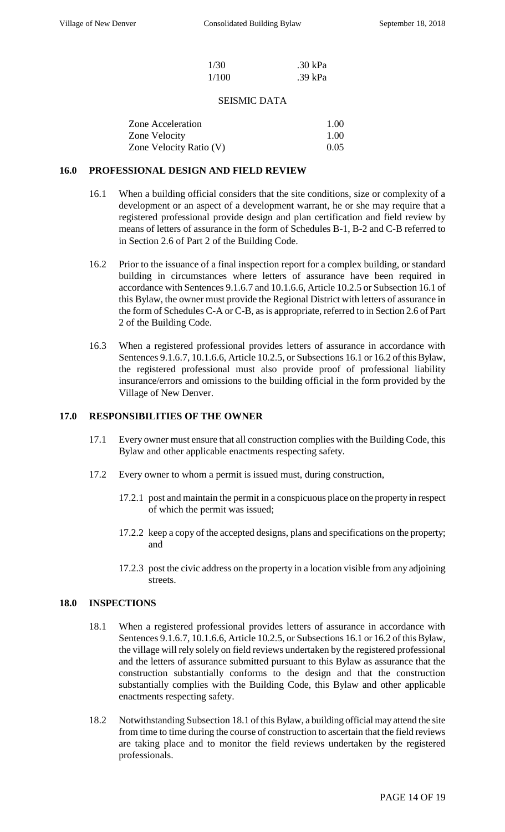| 1/30  | .30 kPa |
|-------|---------|
| 1/100 | .39 kPa |

#### SEISMIC DATA

| <b>Zone Acceleration</b> | 1.00 |
|--------------------------|------|
| Zone Velocity            | 1.00 |
| Zone Velocity Ratio (V)  | 0.05 |

# **16.0 PROFESSIONAL DESIGN AND FIELD REVIEW**

- 16.1 When a building official considers that the site conditions, size or complexity of a development or an aspect of a development warrant, he or she may require that a registered professional provide design and plan certification and field review by means of letters of assurance in the form of Schedules B-1, B-2 and C-B referred to in Section 2.6 of Part 2 of the Building Code.
- 16.2 Prior to the issuance of a final inspection report for a complex building, or standard building in circumstances where letters of assurance have been required in accordance with Sentences 9.1.6.7 and 10.1.6.6, Article 10.2.5 or Subsection 16.1 of this Bylaw, the owner must provide the Regional District with letters of assurance in the form of Schedules C-A or C-B, as is appropriate, referred to in Section 2.6 of Part 2 of the Building Code.
- 16.3 When a registered professional provides letters of assurance in accordance with Sentences 9.1.6.7, 10.1.6.6, Article 10.2.5, or Subsections 16.1 or 16.2 of this Bylaw, the registered professional must also provide proof of professional liability insurance/errors and omissions to the building official in the form provided by the Village of New Denver.

#### **17.0 RESPONSIBILITIES OF THE OWNER**

- 17.1 Every owner must ensure that all construction complies with the Building Code, this Bylaw and other applicable enactments respecting safety.
- 17.2 Every owner to whom a permit is issued must, during construction,
	- 17.2.1 post and maintain the permit in a conspicuous place on the property in respect of which the permit was issued;
	- 17.2.2 keep a copy of the accepted designs, plans and specifications on the property; and
	- 17.2.3 post the civic address on the property in a location visible from any adjoining streets.

#### **18.0 INSPECTIONS**

- 18.1 When a registered professional provides letters of assurance in accordance with Sentences 9.1.6.7, 10.1.6.6, Article 10.2.5, or Subsections 16.1 or 16.2 of this Bylaw, the village will rely solely on field reviews undertaken by the registered professional and the letters of assurance submitted pursuant to this Bylaw as assurance that the construction substantially conforms to the design and that the construction substantially complies with the Building Code, this Bylaw and other applicable enactments respecting safety.
- 18.2 Notwithstanding Subsection 18.1 of this Bylaw, a building official may attend the site from time to time during the course of construction to ascertain that the field reviews are taking place and to monitor the field reviews undertaken by the registered professionals.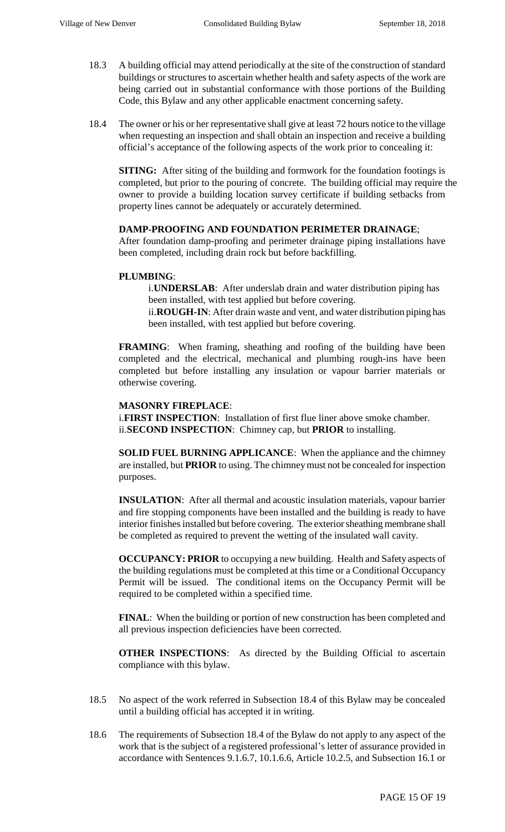- 18.3 A building official may attend periodically at the site of the construction of standard buildings or structures to ascertain whether health and safety aspects of the work are being carried out in substantial conformance with those portions of the Building Code, this Bylaw and any other applicable enactment concerning safety.
- 18.4 The owner or his or her representative shall give at least 72 hours notice to the village when requesting an inspection and shall obtain an inspection and receive a building official's acceptance of the following aspects of the work prior to concealing it:

**SITING:** After siting of the building and formwork for the foundation footings is completed, but prior to the pouring of concrete. The building official may require the owner to provide a building location survey certificate if building setbacks from property lines cannot be adequately or accurately determined.

#### **DAMP-PROOFING AND FOUNDATION PERIMETER DRAINAGE**;

After foundation damp-proofing and perimeter drainage piping installations have been completed, including drain rock but before backfilling.

#### **PLUMBING**:

i.**UNDERSLAB**: After underslab drain and water distribution piping has been installed, with test applied but before covering.

ii.**ROUGH-IN**: After drain waste and vent, and water distribution piping has been installed, with test applied but before covering.

**FRAMING**: When framing, sheathing and roofing of the building have been completed and the electrical, mechanical and plumbing rough-ins have been completed but before installing any insulation or vapour barrier materials or otherwise covering.

#### **MASONRY FIREPLACE**:

i.**FIRST INSPECTION**: Installation of first flue liner above smoke chamber. ii.**SECOND INSPECTION**: Chimney cap, but **PRIOR** to installing.

**SOLID FUEL BURNING APPLICANCE**: When the appliance and the chimney are installed, but **PRIOR** to using. The chimney must not be concealed for inspection purposes.

**INSULATION**: After all thermal and acoustic insulation materials, vapour barrier and fire stopping components have been installed and the building is ready to have interior finishes installed but before covering. The exterior sheathing membrane shall be completed as required to prevent the wetting of the insulated wall cavity.

**OCCUPANCY: PRIOR** to occupying a new building. Health and Safety aspects of the building regulations must be completed at this time or a Conditional Occupancy Permit will be issued. The conditional items on the Occupancy Permit will be required to be completed within a specified time.

**FINAL**: When the building or portion of new construction has been completed and all previous inspection deficiencies have been corrected.

**OTHER INSPECTIONS:** As directed by the Building Official to ascertain compliance with this bylaw.

- 18.5 No aspect of the work referred in Subsection 18.4 of this Bylaw may be concealed until a building official has accepted it in writing.
- 18.6 The requirements of Subsection 18.4 of the Bylaw do not apply to any aspect of the work that is the subject of a registered professional's letter of assurance provided in accordance with Sentences 9.1.6.7, 10.1.6.6, Article 10.2.5, and Subsection 16.1 or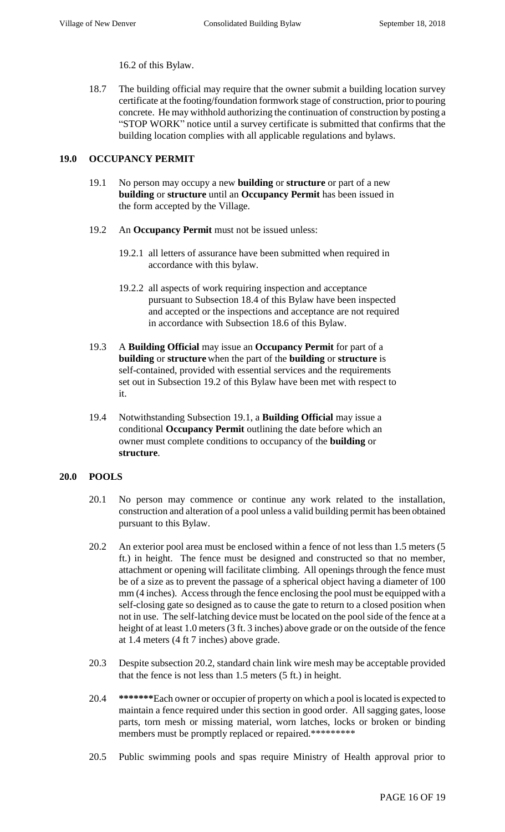16.2 of this Bylaw.

18.7 The building official may require that the owner submit a building location survey certificate at the footing/foundation formwork stage of construction, prior to pouring concrete. He may withhold authorizing the continuation of construction by posting a "STOP WORK" notice until a survey certificate is submitted that confirms that the building location complies with all applicable regulations and bylaws.

#### **19.0 OCCUPANCY PERMIT**

- 19.1 No person may occupy a new **building** or **structure** or part of a new **building** or **structure** until an **Occupancy Permit** has been issued in the form accepted by the Village.
- 19.2 An **Occupancy Permit** must not be issued unless:
	- 19.2.1 all letters of assurance have been submitted when required in accordance with this bylaw.
	- 19.2.2 all aspects of work requiring inspection and acceptance pursuant to Subsection 18.4 of this Bylaw have been inspected and accepted or the inspections and acceptance are not required in accordance with Subsection 18.6 of this Bylaw.
- 19.3 A **Building Official** may issue an **Occupancy Permit** for part of a **building** or **structure** when the part of the **building** or **structure** is self-contained, provided with essential services and the requirements set out in Subsection 19.2 of this Bylaw have been met with respect to it.
- 19.4 Notwithstanding Subsection 19.1, a **Building Official** may issue a conditional **Occupancy Permit** outlining the date before which an owner must complete conditions to occupancy of the **building** or **structure**.

#### **20.0 POOLS**

- 20.1 No person may commence or continue any work related to the installation, construction and alteration of a pool unless a valid building permit has been obtained pursuant to this Bylaw.
- 20.2 An exterior pool area must be enclosed within a fence of not less than 1.5 meters (5 ft.) in height. The fence must be designed and constructed so that no member, attachment or opening will facilitate climbing. All openings through the fence must be of a size as to prevent the passage of a spherical object having a diameter of 100 mm (4 inches). Access through the fence enclosing the pool must be equipped with a self-closing gate so designed as to cause the gate to return to a closed position when not in use. The self-latching device must be located on the pool side of the fence at a height of at least 1.0 meters (3 ft. 3 inches) above grade or on the outside of the fence at 1.4 meters (4 ft 7 inches) above grade.
- 20.3 Despite subsection 20.2, standard chain link wire mesh may be acceptable provided that the fence is not less than 1.5 meters (5 ft.) in height.
- 20.4 **\*\*\*\*\*\*\***Each owner or occupier of property on which a pool is located is expected to maintain a fence required under this section in good order. All sagging gates, loose parts, torn mesh or missing material, worn latches, locks or broken or binding members must be promptly replaced or repaired.\*\*\*\*\*\*\*\*\*
- 20.5 Public swimming pools and spas require Ministry of Health approval prior to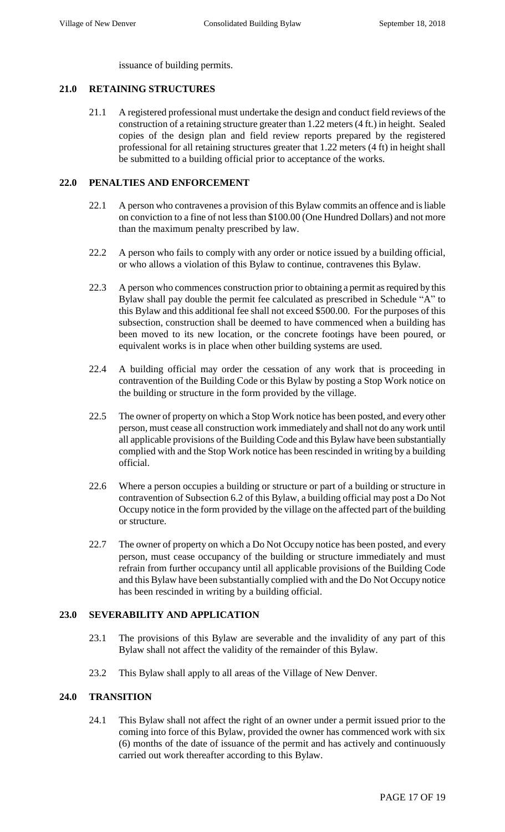issuance of building permits.

# **21.0 RETAINING STRUCTURES**

21.1 A registered professional must undertake the design and conduct field reviews of the construction of a retaining structure greater than 1.22 meters (4 ft.) in height. Sealed copies of the design plan and field review reports prepared by the registered professional for all retaining structures greater that 1.22 meters (4 ft) in height shall be submitted to a building official prior to acceptance of the works.

# **22.0 PENALTIES AND ENFORCEMENT**

- 22.1 A person who contravenes a provision of this Bylaw commits an offence and is liable on conviction to a fine of not less than \$100.00 (One Hundred Dollars) and not more than the maximum penalty prescribed by law.
- 22.2 A person who fails to comply with any order or notice issued by a building official, or who allows a violation of this Bylaw to continue, contravenes this Bylaw.
- 22.3 A person who commences construction prior to obtaining a permit as required by this Bylaw shall pay double the permit fee calculated as prescribed in Schedule "A" to this Bylaw and this additional fee shall not exceed \$500.00. For the purposes of this subsection, construction shall be deemed to have commenced when a building has been moved to its new location, or the concrete footings have been poured, or equivalent works is in place when other building systems are used.
- 22.4 A building official may order the cessation of any work that is proceeding in contravention of the Building Code or this Bylaw by posting a Stop Work notice on the building or structure in the form provided by the village.
- 22.5 The owner of property on which a Stop Work notice has been posted, and every other person, must cease all construction work immediately and shall not do any work until all applicable provisions of the Building Code and this Bylaw have been substantially complied with and the Stop Work notice has been rescinded in writing by a building official.
- 22.6 Where a person occupies a building or structure or part of a building or structure in contravention of Subsection 6.2 of this Bylaw, a building official may post a Do Not Occupy notice in the form provided by the village on the affected part of the building or structure.
- 22.7 The owner of property on which a Do Not Occupy notice has been posted, and every person, must cease occupancy of the building or structure immediately and must refrain from further occupancy until all applicable provisions of the Building Code and this Bylaw have been substantially complied with and the Do Not Occupy notice has been rescinded in writing by a building official.

#### **23.0 SEVERABILITY AND APPLICATION**

- 23.1 The provisions of this Bylaw are severable and the invalidity of any part of this Bylaw shall not affect the validity of the remainder of this Bylaw.
- 23.2 This Bylaw shall apply to all areas of the Village of New Denver.

# **24.0 TRANSITION**

24.1 This Bylaw shall not affect the right of an owner under a permit issued prior to the coming into force of this Bylaw, provided the owner has commenced work with six (6) months of the date of issuance of the permit and has actively and continuously carried out work thereafter according to this Bylaw.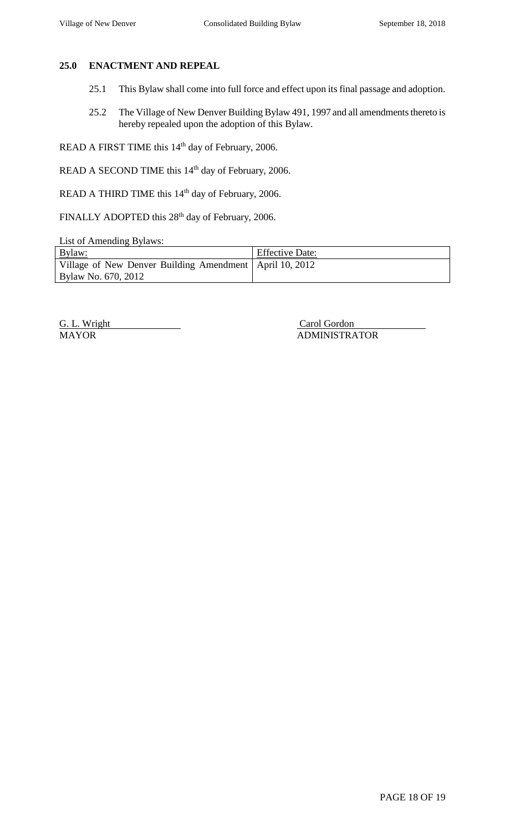# **25.0 ENACTMENT AND REPEAL**

- 25.1 This Bylaw shall come into full force and effect upon its final passage and adoption.
- 25.2 The Village of New Denver Building Bylaw 491, 1997 and all amendments thereto is hereby repealed upon the adoption of this Bylaw.

READ A FIRST TIME this 14<sup>th</sup> day of February, 2006.

READ A SECOND TIME this 14<sup>th</sup> day of February, 2006.

READ A THIRD TIME this 14<sup>th</sup> day of February, 2006.

FINALLY ADOPTED this 28<sup>th</sup> day of February, 2006.

List of Amending Bylaws:

| <u>Bylaw:</u>                                             | <b>Effective Date:</b> |
|-----------------------------------------------------------|------------------------|
| Village of New Denver Building Amendment   April 10, 2012 |                        |
| Bylaw No. 670, 2012                                       |                        |

G. L. Wright Carol Gordon<br>
MAYOR ADMINISTRA **ADMINISTRATOR**